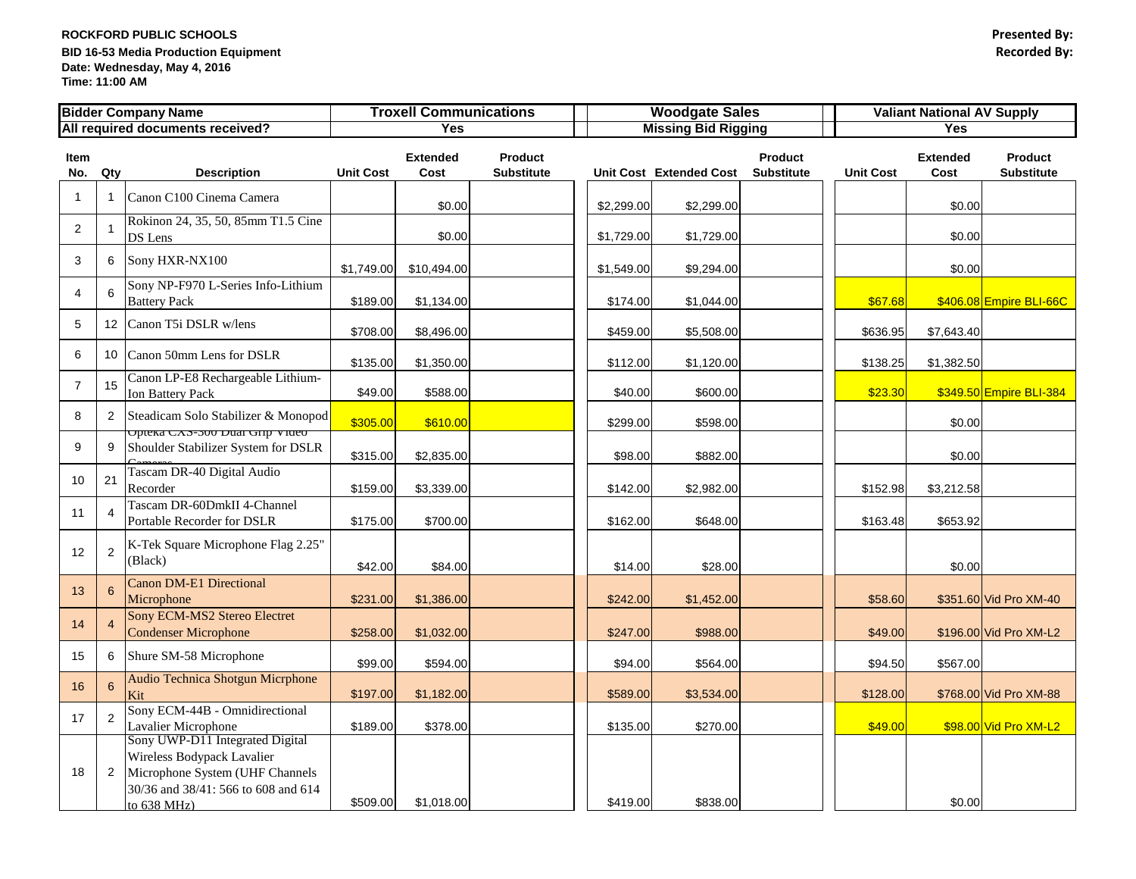## **ROCKFORD PUBLIC SCHOOLS Presented By: BID 16-53 Media Production Equipment Date: Wednesday, May 4, 2016 Time: 11:00 AM**

|                                  |                       | <b>Bidder Company Name</b>                                                                                                                             | <b>Troxell Communications</b> |                         |                                     | <b>Woodgate Sales</b> |                            |                                     | <b>Valiant National AV Supply</b> |                         |                                     |  |
|----------------------------------|-----------------------|--------------------------------------------------------------------------------------------------------------------------------------------------------|-------------------------------|-------------------------|-------------------------------------|-----------------------|----------------------------|-------------------------------------|-----------------------------------|-------------------------|-------------------------------------|--|
| All required documents received? |                       |                                                                                                                                                        | <b>Yes</b>                    |                         |                                     |                       | <b>Missing Bid Rigging</b> |                                     |                                   | <b>Yes</b>              |                                     |  |
| Item<br>No.                      | Qty                   | <b>Description</b>                                                                                                                                     | <b>Unit Cost</b>              | <b>Extended</b><br>Cost | <b>Product</b><br><b>Substitute</b> |                       | Unit Cost Extended Cost    | <b>Product</b><br><b>Substitute</b> | <b>Unit Cost</b>                  | <b>Extended</b><br>Cost | <b>Product</b><br><b>Substitute</b> |  |
| $\overline{1}$                   |                       | Canon C100 Cinema Camera                                                                                                                               |                               | \$0.00                  |                                     | \$2,299.00            | \$2,299.00                 |                                     |                                   | \$0.00                  |                                     |  |
| 2                                |                       | Rokinon 24, 35, 50, 85mm T1.5 Cine<br>DS Lens                                                                                                          |                               | \$0.00                  |                                     | \$1,729.00            | \$1,729.00                 |                                     |                                   | \$0.00                  |                                     |  |
| 3                                | 6                     | Sony HXR-NX100                                                                                                                                         | \$1,749.00                    | \$10,494.00             |                                     | \$1,549.00            | \$9,294.00                 |                                     |                                   | \$0.00                  |                                     |  |
| 4                                | 6                     | Sony NP-F970 L-Series Info-Lithium<br><b>Battery Pack</b>                                                                                              | \$189.00                      | \$1,134.00              |                                     | \$174.00              | \$1,044.00                 |                                     | \$67.68                           |                         | \$406.08 Empire BLI-66C             |  |
| $5\phantom{.0}$                  |                       | 12 Canon T5i DSLR w/lens                                                                                                                               | \$708.00                      | \$8,496.00              |                                     | \$459.00              | \$5,508.00                 |                                     | \$636.95                          | \$7,643.40              |                                     |  |
| 6                                |                       | 10 Canon 50mm Lens for DSLR                                                                                                                            | \$135.00                      | \$1,350.00              |                                     | \$112.00              | \$1,120.00                 |                                     | \$138.25                          | \$1,382.50              |                                     |  |
| $\overline{7}$                   | 15                    | Canon LP-E8 Rechargeable Lithium-<br><b>Ion Battery Pack</b>                                                                                           | \$49.00                       | \$588.00                |                                     | \$40.00               | \$600.00                   |                                     | \$23.30                           |                         | \$349.50 Empire BLI-384             |  |
| 8                                | $\mathbf{2}^{\prime}$ | Steadicam Solo Stabilizer & Monopod<br>Opieka CAS-300 Dual Onp-video                                                                                   | \$305.00                      | \$610.00                |                                     | \$299.00              | \$598.00                   |                                     |                                   | \$0.00                  |                                     |  |
| 9                                |                       | Shoulder Stabilizer System for DSLR                                                                                                                    | \$315.00                      | \$2,835.00              |                                     | \$98.00               | \$882.00                   |                                     |                                   | \$0.00                  |                                     |  |
| 10                               | 21                    | Tascam DR-40 Digital Audio<br>Recorder                                                                                                                 | \$159.00                      | \$3,339.00              |                                     | \$142.00              | \$2,982.00                 |                                     | \$152.98                          | \$3,212.58              |                                     |  |
| 11                               |                       | Tascam DR-60DmkII 4-Channel<br>Portable Recorder for DSLR                                                                                              | \$175.00                      | \$700.00                |                                     | \$162.00              | \$648.00                   |                                     | \$163.48                          | \$653.92                |                                     |  |
| 12                               | $\overline{2}$        | K-Tek Square Microphone Flag 2.25"<br>(Black)                                                                                                          | \$42.00                       | \$84.00                 |                                     | \$14.00               | \$28.00                    |                                     |                                   | \$0.00                  |                                     |  |
| 13                               | 6                     | <b>Canon DM-E1 Directional</b><br>Microphone                                                                                                           | \$231.00                      | \$1,386.00              |                                     | \$242.00              | \$1,452.00                 |                                     | \$58.60                           |                         | \$351.60 Vid Pro XM-40              |  |
| 14                               |                       | Sony ECM-MS2 Stereo Electret<br><b>Condenser Microphone</b>                                                                                            | \$258.00                      | \$1,032.00              |                                     | \$247.00              | \$988.00                   |                                     | \$49.00                           |                         | \$196.00 Vid Pro XM-L2              |  |
| 15                               | 6                     | Shure SM-58 Microphone                                                                                                                                 | \$99.00                       | \$594.00                |                                     | \$94.00               | \$564.00                   |                                     | \$94.50                           | \$567.00                |                                     |  |
| 16                               | $6^{\circ}$           | <b>Audio Technica Shotgun Micrphone</b><br>Kit                                                                                                         | \$197.00                      | \$1,182.00              |                                     | \$589.00              | \$3,534.00                 |                                     | \$128.00                          |                         | \$768.00 Vid Pro XM-88              |  |
| 17                               | $\overline{2}$        | Sony ECM-44B - Omnidirectional<br><b>Lavalier Microphone</b>                                                                                           | \$189.00                      | \$378.00                |                                     | \$135.00              | \$270.00                   |                                     | \$49.00                           |                         | \$98.00 Vid Pro XM-L2               |  |
| 18                               | $\mathbf{2}$          | Sony UWP-D11 Integrated Digital<br>Wireless Bodypack Lavalier<br>Microphone System (UHF Channels<br>30/36 and 38/41: 566 to 608 and 614<br>to 638 MHz) | \$509.00                      | \$1,018.00              |                                     | \$419.00              | \$838.00                   |                                     |                                   | \$0.00                  |                                     |  |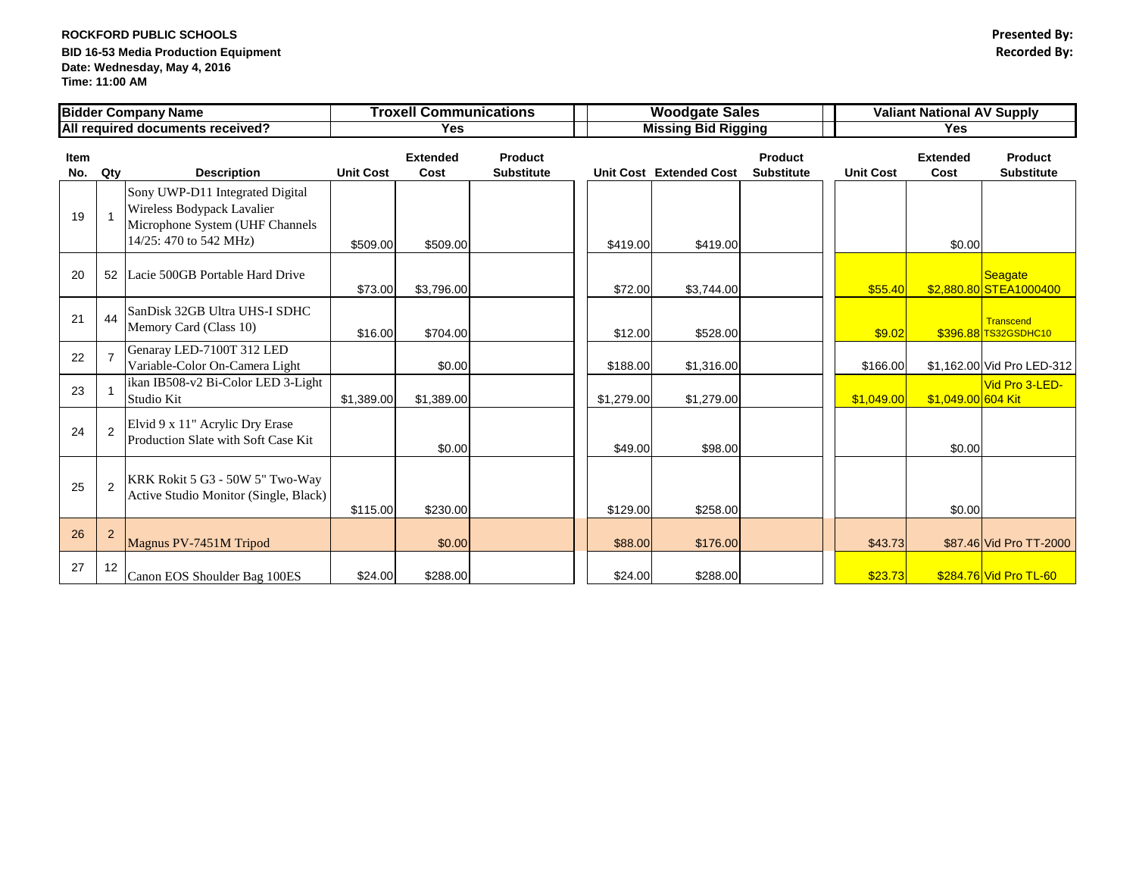## **ROCKFORD PUBLIC SCHOOLS Presented By: BID 16-53 Media Production Equipment Recorded By: Date: Wednesday, May 4, 2016 Time: 11:00 AM**

|             |                | <b>Bidder Company Name</b>                                                                                                 | <b>Troxell Communications</b> |                         |                                     | <b>Woodgate Sales</b>      |                                |                                     | <b>Valiant National AV Supply</b> |                         |                                     |
|-------------|----------------|----------------------------------------------------------------------------------------------------------------------------|-------------------------------|-------------------------|-------------------------------------|----------------------------|--------------------------------|-------------------------------------|-----------------------------------|-------------------------|-------------------------------------|
|             |                | All required documents received?                                                                                           | <b>Yes</b>                    |                         |                                     | <b>Missing Bid Rigging</b> |                                |                                     | <b>Yes</b>                        |                         |                                     |
| Item<br>No. | Qty            | <b>Description</b>                                                                                                         | <b>Unit Cost</b>              | <b>Extended</b><br>Cost | <b>Product</b><br><b>Substitute</b> |                            | <b>Unit Cost Extended Cost</b> | <b>Product</b><br><b>Substitute</b> | <b>Unit Cost</b>                  | <b>Extended</b><br>Cost | <b>Product</b><br><b>Substitute</b> |
| 19          |                | Sony UWP-D11 Integrated Digital<br>Wireless Bodypack Lavalier<br>Microphone System (UHF Channels<br>14/25: 470 to 542 MHz) | \$509.00                      | \$509.00                |                                     | \$419.00                   | \$419.00                       |                                     |                                   | \$0.00                  |                                     |
| 20          |                | 52 Lacie 500GB Portable Hard Drive                                                                                         | \$73.00                       | \$3,796.00              |                                     | \$72.00                    | \$3,744.00                     |                                     | \$55.40                           |                         | Seagate<br>\$2,880.80 STEA1000400   |
| 21          | 44             | SanDisk 32GB Ultra UHS-I SDHC<br>Memory Card (Class 10)                                                                    | \$16.00                       | \$704.00                |                                     | \$12.00                    | \$528.00                       |                                     | \$9.02                            |                         | Transcend<br>\$396.88 TS32GSDHC10   |
| 22          |                | Genaray LED-7100T 312 LED<br>Variable-Color On-Camera Light                                                                |                               | \$0.00                  |                                     | \$188.00                   | \$1,316.00                     |                                     | \$166.00                          |                         | \$1,162.00 Vid Pro LED-312          |
| 23          |                | ikan IB508-v2 Bi-Color LED 3-Light<br>Studio Kit                                                                           | \$1,389.00                    | \$1,389.00              |                                     | \$1,279.00                 | \$1,279.00                     |                                     | \$1,049.00                        | \$1,049.00 604 Kit      | Vid Pro 3-LED-                      |
| 24          | $\overline{2}$ | Elvid 9 x 11" Acrylic Dry Erase<br>Production Slate with Soft Case Kit                                                     |                               | \$0.00                  |                                     | \$49.00                    | \$98.00                        |                                     |                                   | \$0.00                  |                                     |
| 25          | 2              | KRK Rokit 5 G3 - 50W 5" Two-Way<br>Active Studio Monitor (Single, Black)                                                   | \$115.00                      | \$230.00                |                                     | \$129.00                   | \$258.00                       |                                     |                                   | \$0.00                  |                                     |
| 26          | $\overline{2}$ | Magnus PV-7451M Tripod                                                                                                     |                               | \$0.00                  |                                     | \$88.00                    | \$176.00                       |                                     | \$43.73                           |                         | \$87.46 Vid Pro TT-2000             |
| 27          | 12             | Canon EOS Shoulder Bag 100ES                                                                                               | \$24.00                       | \$288.00                |                                     | \$24.00                    | \$288.00                       |                                     | \$23.73                           |                         | \$284.76 Vid Pro TL-60              |